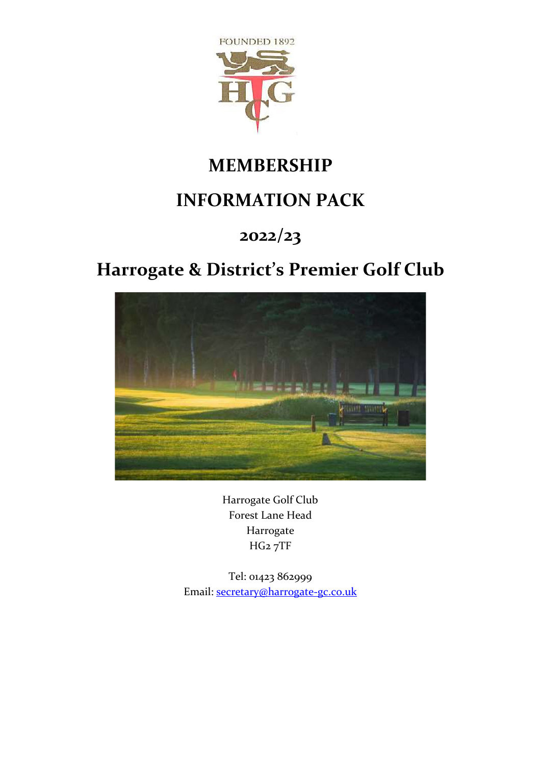

## **MEMBERSHIP**

## **INFORMATION PACK**

## **2022/23**

# **Harrogate & District's Premier Golf Club**



Harrogate Golf Club Forest Lane Head Harrogate HG2 7TF

Tel: 01423 862999 Email: [secretary@harrogate-gc.co.uk](mailto:secretary@harrogate-gc.co.uk)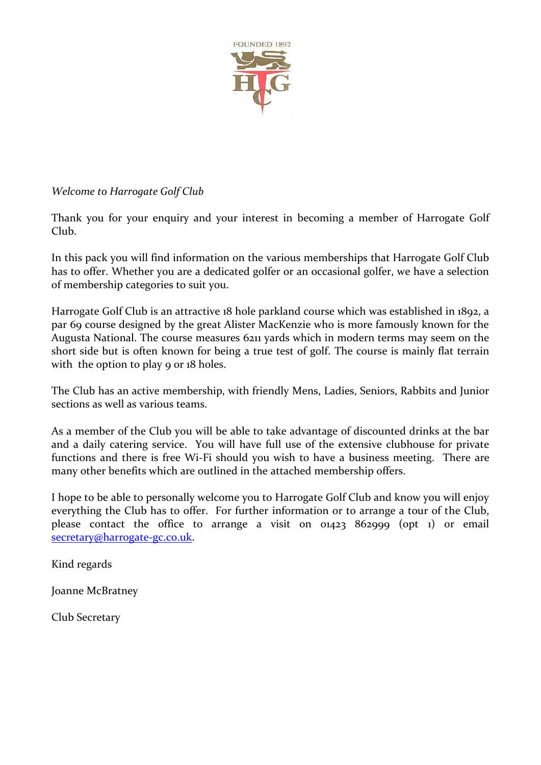

### *Welcome to Harrogate Golf Club*

Thank you for your enquiry and your interest in becoming a member of Harrogate Golf Club.

In this pack you will find information on the various memberships that Harrogate Golf Club has to offer. Whether you are a dedicated golfer or an occasional golfer, we have a selection of membership categories to suit you.

Harrogate Golf Club is an attractive 18 hole parkland course which was established in 1892, a par 69 course designed by the great Alister MacKenzie who is more famously known for the Augusta National. The course measures 6211 yards which in modern terms may seem on the short side but is often known for being a true test of golf. The course is mainly flat terrain with the option to play 9 or 18 holes.

The Club has an active membership, with friendly Mens, Ladies, Seniors, Rabbits and Junior sections as well as various teams.

As a member of the Club you will be able to take advantage of discounted drinks at the bar and a daily catering service. You will have full use of the extensive clubhouse for private functions and there is free Wi-Fi should you wish to have a business meeting. There are many other benefits which are outlined in the attached membership offers.

I hope to be able to personally welcome you to Harrogate Golf Club and know you will enjoy everything the Club has to offer. For further information or to arrange a tour of the Club, please contact the office to arrange a visit on 01423 862999 (opt 1) or email [secretary@harrogate-gc.co.uk.](mailto:secretary@harrogate-gc.co.uk)

Kind regards

Joanne McBratney

Club Secretary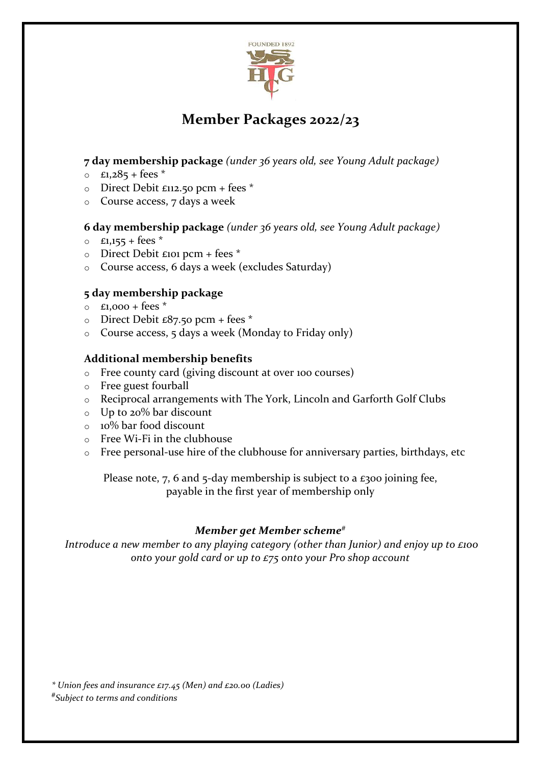

### **Member Packages 2022/23**

### **7 day membership package** *(under 36 years old, see Young Adult package)*

- $\circ$  £1,285 + fees  $*$
- $\circ$  Direct Debit £112.50 pcm + fees \*
- o Course access, 7 days a week

#### **6 day membership package** *(under 36 years old, see Young Adult package)*

- $0$  £1,155 + fees  $*$
- o Direct Debit £101 pcm + fees \*
- o Course access, 6 days a week (excludes Saturday)

### **5 day membership package**

- $\circ$  £1,000 + fees  $*$
- $\circ$  Direct Debit £87.50 pcm + fees  $*$
- o Course access, 5 days a week (Monday to Friday only)

### **Additional membership benefits**

- o Free county card (giving discount at over 100 courses)
- o Free guest fourball
- o Reciprocal arrangements with The York, Lincoln and Garforth Golf Clubs
- o Up to 20% bar discount
- o 10% bar food discount
- o Free Wi-Fi in the clubhouse
- o Free personal-use hire of the clubhouse for anniversary parties, birthdays, etc

Please note, 7, 6 and 5-day membership is subject to a  $\epsilon$ 300 joining fee, payable in the first year of membership only

### *Member get Member scheme#*

*Introduce a new member to any playing category (other than Junior) and enjoy up to £100 onto your gold card or up to £75 onto your Pro shop account*

*\* Union fees and insurance £17.45 (Men) and £20.00 (Ladies) # Subject to terms and conditions*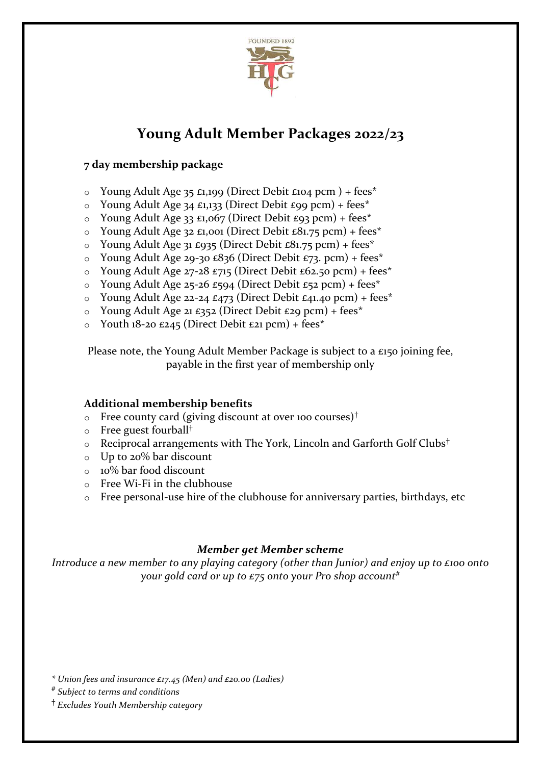

### **Young Adult Member Packages 2022/23**

### **7 day membership package**

- o Young Adult Age 35 £1,199 (Direct Debit £104 pcm ) + fees\*
- $\circ$  Young Adult Age 34 £1,133 (Direct Debit £99 pcm) + fees\*
- $\circ$  Young Adult Age 33 £1,067 (Direct Debit £93 pcm) + fees\*
- $\circ$  Young Adult Age 32 £1,001 (Direct Debit £81.75 pcm) + fees\*
- o Young Adult Age 31 £935 (Direct Debit £81.75 pcm) + fees\*
- $\circ$  Young Adult Age 29-30 £836 (Direct Debit £73. pcm) + fees\*
- $\circ$  Young Adult Age 27-28 £715 (Direct Debit £62.50 pcm) + fees\*
- $\circ$  Young Adult Age 25-26 £594 (Direct Debit £52 pcm) + fees\*
- $\circ$  Young Adult Age 22-24 £473 (Direct Debit £41.40 pcm) + fees<sup>\*</sup>
- $\circ$  Young Adult Age 21 £352 (Direct Debit £29 pcm) + fees\*
- $\circ$  Youth 18-20 £245 (Direct Debit £21 pcm) + fees\*

Please note, the Young Adult Member Package is subject to a £150 joining fee, payable in the first year of membership only

### **Additional membership benefits**

- $\circ$  Free county card (giving discount at over 100 courses)<sup>†</sup>
- o Free guest fourball†
- o Reciprocal arrangements with The York, Lincoln and Garforth Golf Clubs†
- o Up to 20% bar discount
- o 10% bar food discount
- o Free Wi-Fi in the clubhouse
- o Free personal-use hire of the clubhouse for anniversary parties, birthdays, etc

### *Member get Member scheme*

*Introduce a new member to any playing category (other than Junior) and enjoy up to £100 onto your gold card or up to £75 onto your Pro shop account#*

*\* Union fees and insurance £17.45 (Men) and £20.00 (Ladies)*

- *# Subject to terms and conditions*
- † *Excludes Youth Membership category*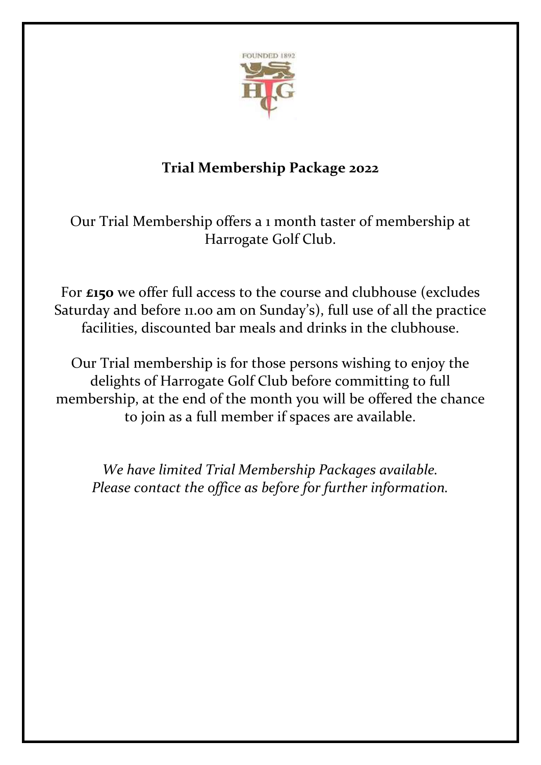

## **Trial Membership Package 2022**

Our Trial Membership offers a 1 month taster of membership at Harrogate Golf Club.

For **£150** we offer full access to the course and clubhouse (excludes Saturday and before 11.00 am on Sunday's), full use of all the practice facilities, discounted bar meals and drinks in the clubhouse.

Our Trial membership is for those persons wishing to enjoy the delights of Harrogate Golf Club before committing to full membership, at the end of the month you will be offered the chance to join as a full member if spaces are available.

*We have limited Trial Membership Packages available. Please contact the office as before for further information.*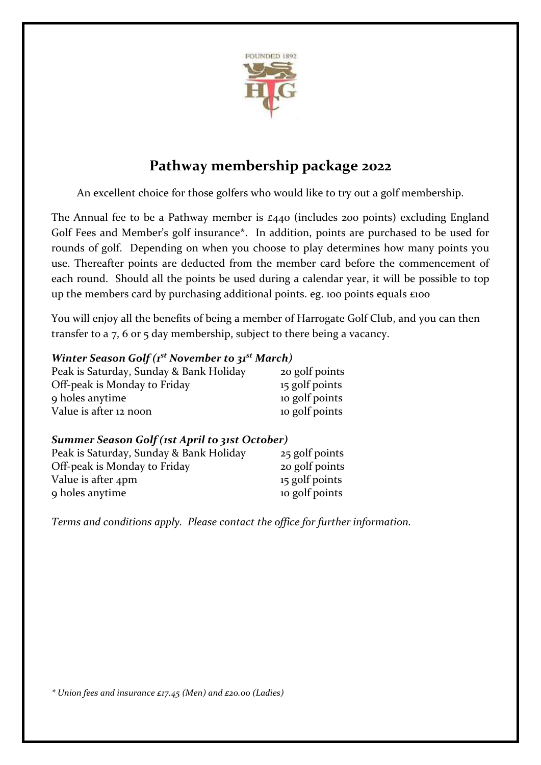

### **Pathway membership package 2022**

An excellent choice for those golfers who would like to try out a golf membership.

The Annual fee to be a Pathway member is £440 (includes 200 points) excluding England Golf Fees and Member's golf insurance\*. In addition, points are purchased to be used for rounds of golf. Depending on when you choose to play determines how many points you use. Thereafter points are deducted from the member card before the commencement of each round. Should all the points be used during a calendar year, it will be possible to top up the members card by purchasing additional points. eg. 100 points equals £100

You will enjoy all the benefits of being a member of Harrogate Golf Club, and you can then transfer to a 7, 6 or 5 day membership, subject to there being a vacancy.

### *Winter Season Golf (1st November to 31st March)*

| Peak is Saturday, Sunday & Bank Holiday | 20 golf points |
|-----------------------------------------|----------------|
| Off-peak is Monday to Friday            | 15 golf points |
| 9 holes anytime                         | to golf points |
| Value is after 12 noon                  | to golf points |

### *Summer Season Golf (1st April to 31st October)*

| Peak is Saturday, Sunday & Bank Holiday | 25 golf points |
|-----------------------------------------|----------------|
| Off-peak is Monday to Friday            | 20 golf points |
| Value is after 4pm                      | 15 golf points |
| 9 holes anytime                         | to golf points |

*Terms and conditions apply. Please contact the office for further information.*

*\* Union fees and insurance £17.45 (Men) and £20.00 (Ladies)*